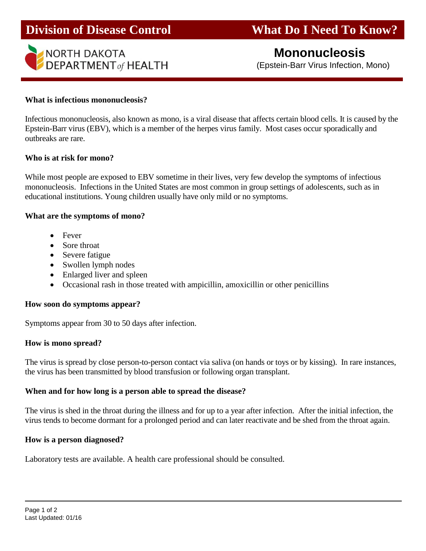

# **Mononucleosis**

(Epstein-Barr Virus Infection, Mono)

#### **What is infectious mononucleosis?**

Infectious mononucleosis, also known as mono, is a viral disease that affects certain blood cells. It is caused by the Epstein-Barr virus (EBV), which is a member of the herpes virus family. Most cases occur sporadically and outbreaks are rare.

#### **Who is at risk for mono?**

While most people are exposed to EBV sometime in their lives, very few develop the symptoms of infectious mononucleosis. Infections in the United States are most common in group settings of adolescents, such as in educational institutions. Young children usually have only mild or no symptoms.

#### **What are the symptoms of mono?**

- Fever
- Sore throat
- Severe fatigue
- Swollen lymph nodes
- Enlarged liver and spleen
- Occasional rash in those treated with ampicillin, amoxicillin or other penicillins

## **How soon do symptoms appear?**

Symptoms appear from 30 to 50 days after infection.

## **How is mono spread?**

The virus is spread by close person-to-person contact via saliva (on hands or toys or by kissing). In rare instances, the virus has been transmitted by blood transfusion or following organ transplant.

## **When and for how long is a person able to spread the disease?**

The virus is shed in the throat during the illness and for up to a year after infection. After the initial infection, the virus tends to become dormant for a prolonged period and can later reactivate and be shed from the throat again.

## **How is a person diagnosed?**

Laboratory tests are available. A health care professional should be consulted.